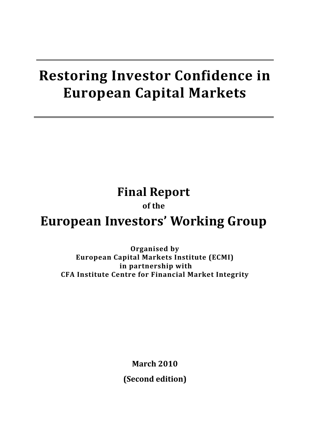# **Restoring Investor Confidence in European Capital Markets**

**Final Report** 

## **of the**

# **European Investors' Working Group**

**Organised by European Capital Markets Institute (ECMI) in partnership with CFA Institute Centre for Financial Market Integrity**

> **March 2010 (Second edition)**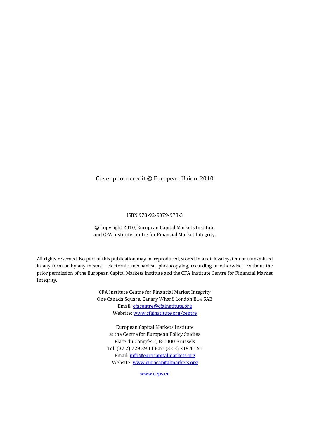#### Cover photo credit © European Union, 2010

#### ISBN 978‐92‐9079‐973‐3

© Copyright 2010, European Capital Markets Institute and CFA Institute Centre for Financial Market Integrity.

All rights reserved. No part of this publication may be reproduced, stored in a retrieval system or transmitted in any form or by any means – electronic, mechanical, photocopying, recording or otherwise – without the prior permission of the European Capital Markets Institute and the CFA Institute Centre for Financial Market Integrity.

> CFA Institute Centre for Financial Market Integrity One Canada Square, Canary Wharf, London E14 5AB Email: cfacentre@cfainstitute.org Website: www.cfainstitute.org/centre

European Capital Markets Institute at the Centre for European Policy Studies Place du Congrès 1, B‐1000 Brussels Tel: (32.2) 229.39.11 Fax: (32.2) 219.41.51 Email: info@eurocapitalmarkets.org Website: www.eurocapitalmarkets.org

www.ceps.eu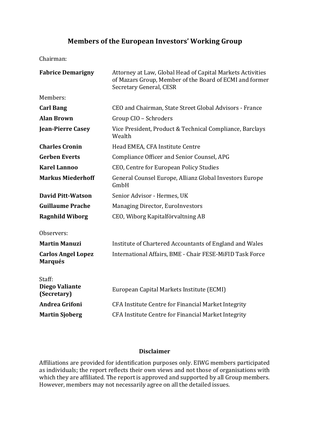## **Members of the European Investors' Working Group**

Chairman:

| <b>Fabrice Demarigny</b>                    | Attorney at Law, Global Head of Capital Markets Activities<br>of Mazars Group, Member of the Board of ECMI and former<br>Secretary General, CESR |  |
|---------------------------------------------|--------------------------------------------------------------------------------------------------------------------------------------------------|--|
| Members:                                    |                                                                                                                                                  |  |
| <b>Carl Bang</b>                            | CEO and Chairman, State Street Global Advisors - France                                                                                          |  |
| <b>Alan Brown</b>                           | Group CIO - Schroders                                                                                                                            |  |
| <b>Jean-Pierre Casey</b>                    | Vice President, Product & Technical Compliance, Barclays<br>Wealth                                                                               |  |
| <b>Charles Cronin</b>                       | Head EMEA, CFA Institute Centre                                                                                                                  |  |
| <b>Gerben Everts</b>                        | Compliance Officer and Senior Counsel, APG                                                                                                       |  |
| <b>Karel Lannoo</b>                         | CEO, Centre for European Policy Studies                                                                                                          |  |
| <b>Markus Miederhoff</b>                    | General Counsel Europe, Allianz Global Investors Europe<br>GmbH                                                                                  |  |
| <b>David Pitt-Watson</b>                    | Senior Advisor - Hermes, UK                                                                                                                      |  |
| <b>Guillaume Prache</b>                     | Managing Director, EuroInvestors                                                                                                                 |  |
| <b>Ragnhild Wiborg</b>                      | CEO, Wiborg Kapitalförvaltning AB                                                                                                                |  |
| Observers:                                  |                                                                                                                                                  |  |
| <b>Martin Manuzi</b>                        | Institute of Chartered Accountants of England and Wales                                                                                          |  |
| <b>Carlos Angel Lopez</b><br><b>Marqués</b> | International Affairs, BME - Chair FESE-MiFID Task Force                                                                                         |  |
| Staff:                                      |                                                                                                                                                  |  |
| <b>Diego Valiante</b><br>(Secretary)        | European Capital Markets Institute (ECMI)                                                                                                        |  |
| Andrea Grifoni                              | CFA Institute Centre for Financial Market Integrity                                                                                              |  |
| <b>Martin Sjoberg</b>                       | CFA Institute Centre for Financial Market Integrity                                                                                              |  |
|                                             |                                                                                                                                                  |  |

#### **Disclaimer**

Affiliations are provided for identification purposes only. EIWG members participated as individuals; the report reflects their own views and not those of organisations with which they are affiliated. The report is approved and supported by all Group members. However, members may not necessarily agree on all the detailed issues.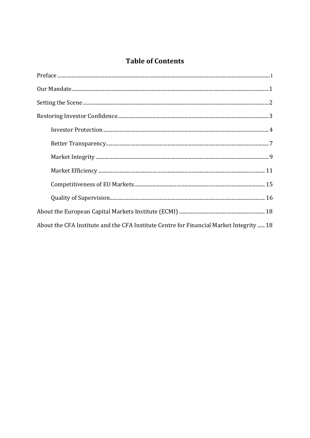## **Table of Contents**

| $Our Mandate\n\frac{1}{1}$                                                              |  |  |
|-----------------------------------------------------------------------------------------|--|--|
|                                                                                         |  |  |
|                                                                                         |  |  |
|                                                                                         |  |  |
|                                                                                         |  |  |
|                                                                                         |  |  |
|                                                                                         |  |  |
|                                                                                         |  |  |
|                                                                                         |  |  |
|                                                                                         |  |  |
| About the CFA Institute and the CFA Institute Centre for Financial Market Integrity  18 |  |  |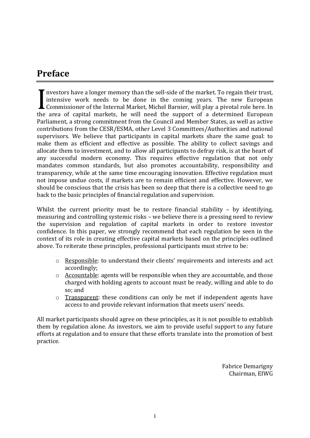## **Preface**

nvestors have a longer memory than the sell‐side of the market. To regain their trust, intensive work needs to be done in the coming years. The new European Commissioner of the Internal Market, Michel Barnier, will play a pivotal role here. In the area of capital markets, he will need the support of a determined European Parliament, a strong commitment from the Council and Member States, as well as active contributions from the CESR/ESMA, other Level 3 Committees/Authorities and national supervisors. We believe that participants in capital markets share the same goal: to make them as efficient and effective as possible. The ability to collect savings and allocate them to investment, and to allow all participants to defray risk, is at the heart of any successful modern economy. This requires effective regulation that not only mandates common standards, but also promotes accountability, responsibility and transparency, while at the same time encouraging innovation. Effective regulation must not impose undue costs, if markets are to remain efficient and effective. However, we should be conscious that the crisis has been so deep that there is a collective need to go back to the basic principles of financial regulation and supervision.  $\left[\begin{array}{c}\n\text{nv} \\
\text{int}\n\end{array}\right]$ 

Whilst the current priority must be to restore financial stability - by identifying, measuring and controlling systemic risks – we believe there is a pressing need to review the supervision and regulation of capital markets in order to restore investor confidence. In this paper, we strongly recommend that each regulation be seen in the context of its role in creating effective capital markets based on the principles outlined above. To reiterate these principles, professional participants must strive to be:

- o Responsible: to understand their clients' requirements and interests and act accordingly;
- o Accountable: agents will be responsible when they are accountable, and those charged with holding agents to account must be ready, willing and able to do so; and
- o Transparent: these conditions can only be met if independent agents have access to and provide relevant information that meets users' needs.

All market participants should agree on these principles, as it is not possible to establish them by regulation alone. As investors, we aim to provide useful support to any future efforts at regulation and to ensure that these efforts translate into the promotion of best practice.

> Fabrice Demarigny Chairman, EIWG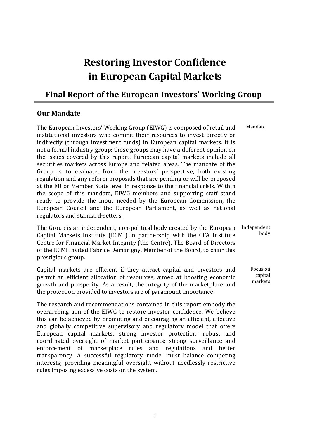## **Restoring Investor Confidence in European Capital Markets**

## **Final Report of the European Investors' Working Group**

#### **Our Mandate**

The European Investors' Working Group (EIWG) is composed of retail and institutional investors who commit their resources to invest directly or indirectly (through investment funds) in European capital markets. It is not a formal industry group; those groups may have a different opinion on the issues covered by this report. European capital markets include all securities markets across Europe and related areas. The mandate of the Group is to evaluate, from the investors' perspective, both existing regulation and any reform proposals that are pending or will be proposed at the EU or Member State level in response to the financial crisis. Within the scope of this mandate, EIWG members and supporting staff stand ready to provide the input needed by the European Commission, the European Council and the European Parliament, as well as national regulators and standard‐setters. Mandate

The Group is an independent, non-political body created by the European Capital Markets Institute (ECMI) in partnership with the CFA Institute Centre for Financial Market Integrity (the Centre). The Board of Directors of the ECMI invited Fabrice Demarigny, Member of the Board, to chair this prestigious group. Independent body

Capital markets are efficient if they attract capital and investors and permit an efficient allocation of resources, aimed at boosting economic growth and prosperity. As a result, the integrity of the marketplace and the protection provided to investors are of paramount importance. Focus on capital markets

The research and recommendations contained in this report embody the overarching aim of the EIWG to restore investor confidence. We believe this can be achieved by promoting and encouraging an efficient, effective and globally competitive supervisory and regulatory model that offers European capital markets: strong investor protection: robust and coordinated oversight of market participants; strong surveillance and enforcement of marketplace rules and regulations and better transparency. A successful regulatory model must balance competing interests; providing meaningful oversight without needlessly restrictive rules imposing excessive costs on the system.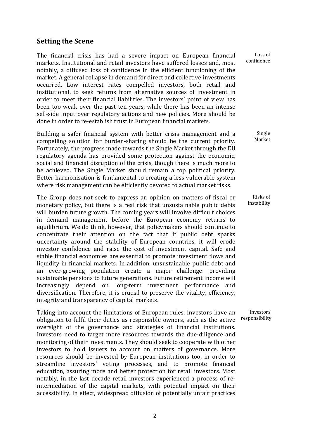#### **Setting the Scene**

The financial crisis has had a severe impact on European financial markets. Institutional and retail investors have suffered losses and, most notably, a diffused loss of confidence in the efficient functioning of the market. A general collapse in demand for direct and collective investments occurred. Low interest rates compelled investors, both retail and institutional, to seek returns from alternative sources of investment in order to meet their financial liabilities. The investors' point of view has been too weak over the past ten years, while there has been an intense sell-side input over regulatory actions and new policies. More should be done in order to re‐establish trust in European financial markets.

Building a safer financial system with better crisis management and a compelling solution for burden‐sharing should be the current priority. Fortunately, the progress made towards the Single Market through the EU regulatory agenda has provided some protection against the economic, social and financial disruption of the crisis, though there is much more to be achieved. The Single Market should remain a top political priority. Better harmonisation is fundamental to creating a less vulnerable system where risk management can be efficiently devoted to actual market risks.

The Group does not seek to express an opinion on matters of fiscal or monetary policy, but there is a real risk that unsustainable public debts will burden future growth. The coming years will involve difficult choices in demand management before the European economy returns to equilibrium. We do think, however, that policymakers should continue to concentrate their attention on the fact that if public debt sparks uncertainty around the stability of European countries, it will erode investor confidence and raise the cost of investment capital. Safe and stable financial economies are essential to promote investment flows and liquidity in financial markets. In addition, unsustainable public debt and an ever‐growing population create a major challenge: providing sustainable pensions to future generations. Future retirement income will increasingly depend on long‐term investment performance and diversification. Therefore, it is crucial to preserve the vitality, efficiency, integrity and transparency of capital markets.

Taking into account the limitations of European rules, investors have an obligation to fulfil their duties as responsible owners, such as the active oversight of the governance and strategies of financial institutions. Investors need to target more resources towards the due‐diligence and monitoring of their investments. They should seek to cooperate with other investors to hold issuers to account on matters of governance. More resources should be invested by European institutions too, in order to streamline investors' voting processes, and to promote financial education, assuring more and better protection for retail investors. Most notably, in the last decade retail investors experienced a process of re‐ intermediation of the capital markets, with potential impact on their accessibility. In effect, widespread diffusion of potentially unfair practices

Loss of confidence

> Single Market

Risks of instability

Investors' responsibility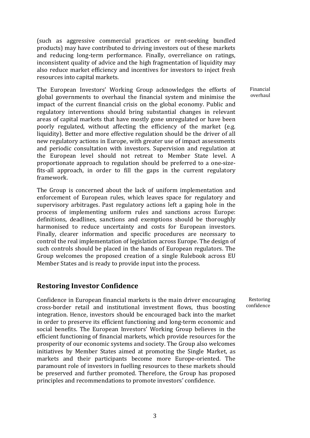(such as aggressive commercial practices or rent‐seeking bundled products) may have contributed to driving investors out of these markets and reducing long‐term performance. Finally, overreliance on ratings, inconsistent quality of advice and the high fragmentation of liquidity may also reduce market efficiency and incentives for investors to inject fresh resources into capital markets.

The European Investors' Working Group acknowledges the efforts of global governments to overhaul the financial system and minimise the impact of the current financial crisis on the global economy. Public and regulatory interventions should bring substantial changes in relevant areas of capital markets that have mostly gone unregulated or have been poorly regulated, without affecting the efficiency of the market (e.g. liquidity). Better and more effective regulation should be the driver of all new regulatory actions in Europe, with greater use of impact assessments and periodic consultation with investors. Supervision and regulation at the European level should not retreat to Member State level. A proportionate approach to regulation should be preferred to a one‐size‐ fits‐all approach, in order to fill the gaps in the current regulatory framework.

The Group is concerned about the lack of uniform implementation and enforcement of European rules, which leaves space for regulatory and supervisory arbitrages. Past regulatory actions left a gaping hole in the process of implementing uniform rules and sanctions across Europe: definitions, deadlines, sanctions and exemptions should be thoroughly harmonised to reduce uncertainty and costs for European investors. Finally, clearer information and specific procedures are necessary to control the real implementation of legislation across Europe. The design of such controls should be placed in the hands of European regulators. The Group welcomes the proposed creation of a single Rulebook across EU Member States and is ready to provide input into the process.

#### **Restoring Investor Confidence**

Confidence in European financial markets is the main driver encouraging cross‐border retail and institutional investment flows, thus boosting integration. Hence, investors should be encouraged back into the market in order to preserve its efficient functioning and long‐term economic and social benefits. The European Investors' Working Group believes in the efficient functioning of financial markets, which provide resources for the prosperity of our economic systems and society. The Group also welcomes initiatives by Member States aimed at promoting the Single Market, as markets and their participants become more Europe‐oriented. The paramount role of investors in fuelling resources to these markets should be preserved and further promoted. Therefore, the Group has proposed principles and recommendations to promote investors' confidence.

Financial overhaul

confidence

Restoring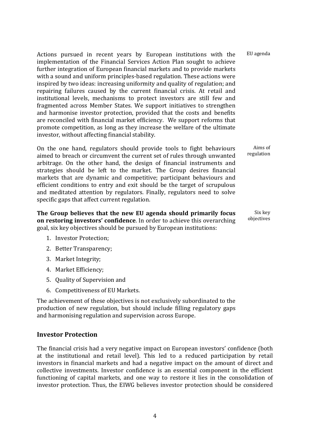Actions pursued in recent years by European institutions with the implementation of the Financial Services Action Plan sought to achieve further integration of European financial markets and to provide markets with a sound and uniform principles-based regulation. These actions were inspired by two ideas: increasing uniformity and quality of regulation; and repairing failures caused by the current financial crisis. At retail and institutional levels, mechanisms to protect investors are still few and fragmented across Member States. We support initiatives to strengthen and harmonise investor protection, provided that the costs and benefits are reconciled with financial market efficiency. We support reforms that promote competition, as long as they increase the welfare of the ultimate investor, without affecting financial stability. EU agenda

On the one hand, regulators should provide tools to fight behaviours aimed to breach or circumvent the current set of rules through unwanted arbitrage. On the other hand, the design of financial instruments and strategies should be left to the market. The Group desires financial markets that are dynamic and competitive; participant behaviours and efficient conditions to entry and exit should be the target of scrupulous and meditated attention by regulators. Finally, regulators need to solve specific gaps that affect current regulation. Aims of regulation

**The Group believes that the new EU agenda should primarily focus on restoring investors' confidence**. In order to achieve this overarching goal, six key objectives should be pursued by European institutions: Six key objectives

- 1. Investor Protection;
- 2. Better Transparency;
- 3. Market Integrity;
- 4. Market Efficiency;
- 5. Quality of Supervision and
- 6. Competitiveness of EU Markets.

The achievement of these objectives is not exclusively subordinated to the production of new regulation, but should include filling regulatory gaps and harmonising regulation and supervision across Europe.

#### **Investor Protection**

The financial crisis had a very negative impact on European investors' confidence (both at the institutional and retail level). This led to a reduced participation by retail investors in financial markets and had a negative impact on the amount of direct and collective investments. Investor confidence is an essential component in the efficient functioning of capital markets, and one way to restore it lies in the consolidation of investor protection. Thus, the EIWG believes investor protection should be considered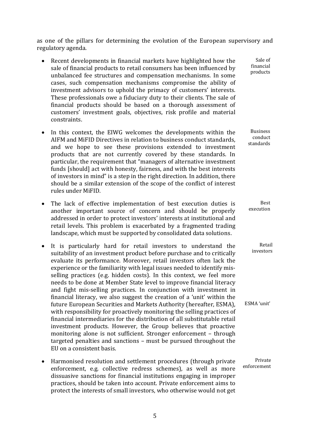as one of the pillars for determining the evolution of the European supervisory and regulatory agenda.

> Sale of financial products

> > Best

Retail

- Recent developments in financial markets have highlighted how the sale of financial products to retail consumers has been influenced by unbalanced fee structures and compensation mechanisms. In some cases, such compensation mechanisms compromise the ability of investment advisors to uphold the primacy of customers' interests. These professionals owe a fiduciary duty to their clients. The sale of financial products should be based on a thorough assessment of customers' investment goals, objectives, risk profile and material constraints.
- In this context, the EIWG welcomes the developments within the AIFM and MiFID Directives in relation to business conduct standards, and we hope to see these provisions extended to investment products that are not currently covered by these standards. In particular, the requirement that "managers of alternative investment funds [should] act with honesty, fairness, and with the best interests of investors in mind" is a step in the right direction. In addition, there should be a similar extension of the scope of the conflict of interest rules under MiFID. **Business** conduct standards
- The lack of effective implementation of best execution duties is another important source of concern and should be properly addressed in order to protect investors' interests at institutional and retail levels. This problem is exacerbated by a fragmented trading landscape, which must be supported by consolidated data solutions. execution
- It is particularly hard for retail investors to understand the suitability of an investment product before purchase and to critically evaluate its performance. Moreover, retail investors often lack the experience or the familiarity with legal issues needed to identify misselling practices (e.g. hidden costs). In this context, we feel more needs to be done at Member State level to improve financial literacy and fight mis‐selling practices. In conjunction with investment in financial literacy, we also suggest the creation of a 'unit' within the future European Securities and Markets Authority (hereafter, ESMA), with responsibility for proactively monitoring the selling practices of financial intermediaries for the distribution of all substitutable retail investment products. However, the Group believes that proactive monitoring alone is not sufficient. Stronger enforcement – through targeted penalties and sanctions – must be pursued throughout the EU on a consistent basis. investors ESMA 'unit'
- Harmonised resolution and settlement procedures (through private enforcement, e.g. collective redress schemes), as well as more dissuasive sanctions for financial institutions engaging in improper practices, should be taken into account. Private enforcement aims to protect the interests of small investors, who otherwise would not get Private enforcement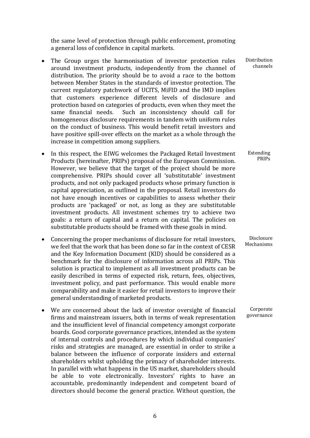the same level of protection through public enforcement, promoting a general loss of confidence in capital markets.

- The Group urges the harmonisation of investor protection rules around investment products, independently from the channel of distribution. The priority should be to avoid a race to the bottom between Member States in the standards of investor protection. The current regulatory patchwork of UCITS, MiFID and the IMD implies that customers experience different levels of disclosure and protection based on categories of products, even when they meet the same financial needs. Such an inconsistency should call for homogeneous disclosure requirements in tandem with uniform rules on the conduct of business. This would benefit retail investors and have positive spill-over effects on the market as a whole through the increase in competition among suppliers.
- In this respect, the EIWG welcomes the Packaged Retail Investment Products (hereinafter, PRIPs) proposal of the European Commission. However, we believe that the target of the project should be more comprehensive. PRIPs should cover all 'substitutable' investment products, and not only packaged products whose primary function is capital appreciation, as outlined in the proposal. Retail investors do not have enough incentives or capabilities to assess whether their products are 'packaged' or not, as long as they are substitutable investment products. All investment schemes try to achieve two goals: a return of capital and a return on capital. The policies on substitutable products should be framed with these goals in mind.
- Concerning the proper mechanisms of disclosure for retail investors, we feel that the work that has been done so far in the context of CESR and the Key Information Document (KID) should be considered as a benchmark for the disclosure of information across all PRIPs. This solution is practical to implement as all investment products can be easily described in terms of expected risk, return, fees, objectives, investment policy, and past performance. This would enable more comparability and make it easier for retail investors to improve their general understanding of marketed products.
- We are concerned about the lack of investor oversight of financial firms and mainstream issuers, both in terms of weak representation and the insufficient level of financial competency amongst corporate boards. Good corporate governance practices, intended as the system of internal controls and procedures by which individual companies' risks and strategies are managed, are essential in order to strike a balance between the influence of corporate insiders and external shareholders whilst upholding the primacy of shareholder interests. In parallel with what happens in the US market, shareholders should be able to vote electronically. Investors' rights to have an accountable, predominantly independent and competent board of directors should become the general practice. Without question, the

Distribution channels

Extending PRIPs

Disclosure Mechanisms

Corporate governance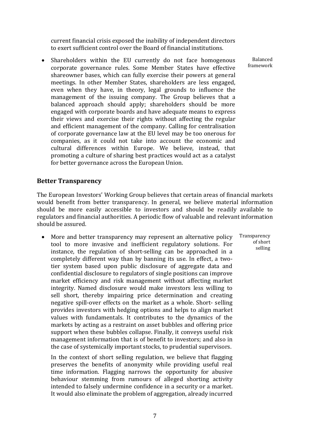current financial crisis exposed the inability of independent directors to exert sufficient control over the Board of financial institutions.

• Shareholders within the EU currently do not face homogenous corporate governance rules. Some Member States have effective shareowner bases, which can fully exercise their powers at general meetings. In other Member States, shareholders are less engaged, even when they have, in theory, legal grounds to influence the management of the issuing company. The Group believes that a balanced approach should apply; shareholders should be more engaged with corporate boards and have adequate means to express their views and exercise their rights without affecting the regular and efficient management of the company. Calling for centralisation of corporate governance law at the EU level may be too onerous for companies, as it could not take into account the economic and cultural differences within Europe. We believe, instead, that promoting a culture of sharing best practices would act as a catalyst for better governance across the European Union.

#### **Better Transparency**

The European Investors' Working Group believes that certain areas of financial markets would benefit from better transparency. In general, we believe material information should be more easily accessible to investors and should be readily available to regulators and financial authorities. A periodic flow of valuable and relevant information should be assured.

• More and better transparency may represent an alternative policy tool to more invasive and inefficient regulatory solutions. For instance, the regulation of short‐selling can be approached in a completely different way than by banning its use. In effect, a twotier system based upon public disclosure of aggregate data and confidential disclosure to regulators of single positions can improve market efficiency and risk management without affecting market integrity. Named disclosure would make investors less willing to sell short, thereby impairing price determination and creating negative spill-over effects on the market as a whole. Short-selling provides investors with hedging options and helps to align market values with fundamentals. It contributes to the dynamics of the markets by acting as a restraint on asset bubbles and offering price support when these bubbles collapse. Finally, it conveys useful risk management information that is of benefit to investors; and also in the case of systemically important stocks, to prudential supervisors.

In the context of short selling regulation, we believe that flagging preserves the benefits of anonymity while providing useful real time information. Flagging narrows the opportunity for abusive behaviour stemming from rumours of alleged shorting activity intended to falsely undermine confidence in a security or a market. It would also eliminate the problem of aggregation, already incurred

Transparency of short selling

Balanced framework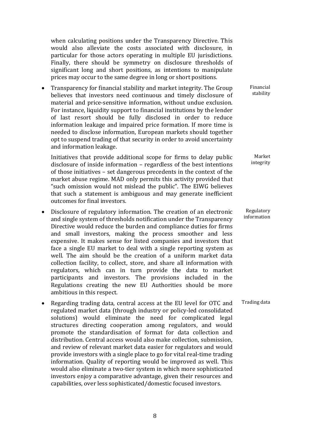when calculating positions under the Transparency Directive. This would also alleviate the costs associated with disclosure, in particular for those actors operating in multiple EU jurisdictions. Finally, there should be symmetry on disclosure thresholds of significant long and short positions, as intentions to manipulate prices may occur to the same degree in long or short positions.

• Transparency for financial stability and market integrity. The Group believes that investors need continuous and timely disclosure of material and price‐sensitive information, without undue exclusion. For instance, liquidity support to financial institutions by the lender of last resort should be fully disclosed in order to reduce information leakage and impaired price formation. If more time is needed to disclose information, European markets should together opt to suspend trading of that security in order to avoid uncertainty and information leakage.

Initiatives that provide additional scope for firms to delay public disclosure of inside information – regardless of the best intentions of those initiatives – set dangerous precedents in the context of the market abuse regime. MAD only permits this activity provided that "such omission would not mislead the public". The EIWG believes that such a statement is ambiguous and may generate inefficient outcomes for final investors.

- Disclosure of regulatory information. The creation of an electronic and single system of thresholds notification under the Transparency Directive would reduce the burden and compliance duties for firms and small investors, making the process smoother and less expensive. It makes sense for listed companies and investors that face a single EU market to deal with a single reporting system as well. The aim should be the creation of a uniform market data collection facility, to collect, store, and share all information with regulators, which can in turn provide the data to market participants and investors. The provisions included in the Regulations creating the new EU Authorities should be more ambitious in this respect.
- Regarding trading data, central access at the EU level for OTC and regulated market data (through industry or policy‐led consolidated solutions) would eliminate the need for complicated legal structures directing cooperation among regulators, and would promote the standardisation of format for data collection and distribution. Central access would also make collection, submission, and review of relevant market data easier for regulators and would provide investors with a single place to go for vital real-time trading information. Quality of reporting would be improved as well. This would also eliminate a two-tier system in which more sophisticated investors enjoy a comparative advantage, given their resources and capabilities, over less sophisticated/domestic focused investors.

Financial stability

Market integrity

Regulatory information

Trading data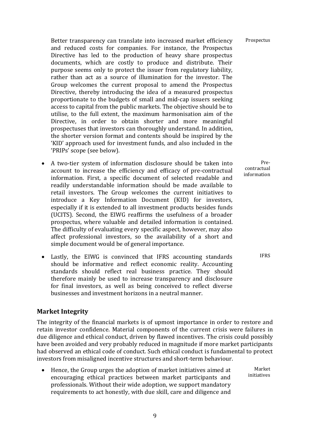Better transparency can translate into increased market efficiency and reduced costs for companies. For instance, the Prospectus Directive has led to the production of heavy share prospectus documents, which are costly to produce and distribute. Their purpose seems only to protect the issuer from regulatory liability, rather than act as a source of illumination for the investor. The Group welcomes the current proposal to amend the Prospectus Directive, thereby introducing the idea of a measured prospectus proportionate to the budgets of small and mid‐cap issuers seeking access to capital from the public markets. The objective should be to utilise, to the full extent, the maximum harmonisation aim of the Directive, in order to obtain shorter and more meaningful prospectuses that investors can thoroughly understand. In addition, the shorter version format and contents should be inspired by the 'KID' approach used for investment funds, and also included in the 'PRIPs' scope (see below).

- A two-tier system of information disclosure should be taken into account to increase the efficiency and efficacy of pre‐contractual information. First, a specific document of selected readable and readily understandable information should be made available to retail investors. The Group welcomes the current initiatives to introduce a Key Information Document (KID) for investors, especially if it is extended to all investment products besides funds (UCITS). Second, the EIWG reaffirms the usefulness of a broader prospectus, where valuable and detailed information is contained. The difficulty of evaluating every specific aspect, however, may also affect professional investors, so the availability of a short and simple document would be of general importance.
- Lastly, the EIWG is convinced that IFRS accounting standards should be informative and reflect economic reality. Accounting standards should reflect real business practice. They should therefore mainly be used to increase transparency and disclosure for final investors, as well as being conceived to reflect diverse businesses and investment horizons in a neutral manner.

#### **Market Integrity**

The integrity of the financial markets is of upmost importance in order to restore and retain investor confidence. Material components of the current crisis were failures in due diligence and ethical conduct, driven by flawed incentives. The crisis could possibly have been avoided and very probably reduced in magnitude if more market participants had observed an ethical code of conduct. Such ethical conduct is fundamental to protect investors from misaligned incentive structures and short‐term behaviour.

• Hence, the Group urges the adoption of market initiatives aimed at encouraging ethical practices between market participants and professionals. Without their wide adoption, we support mandatory requirements to act honestly, with due skill, care and diligence and initiatives

IFRS

Market

Pre‐ contractual information

Prospectus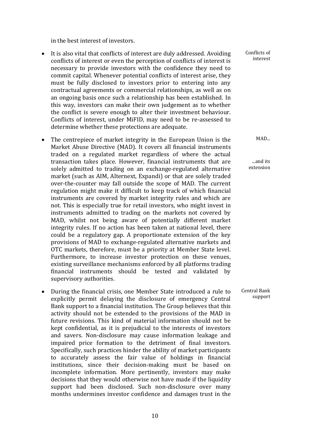in the best interest of investors.

- It is also vital that conflicts of interest are duly addressed. Avoiding conflicts of interest or even the perception of conflicts of interest is necessary to provide investors with the confidence they need to commit capital. Whenever potential conflicts of interest arise, they must be fully disclosed to investors prior to entering into any contractual agreements or commercial relationships, as well as on an ongoing basis once such a relationship has been established. In this way, investors can make their own judgement as to whether the conflict is severe enough to alter their investment behaviour. Conflicts of interest, under MiFID, may need to be re‐assessed to determine whether these protections are adequate.
- The centrepiece of market integrity in the European Union is the Market Abuse Directive (MAD). It covers all financial instruments traded on a regulated market regardless of where the actual transaction takes place. However, financial instruments that are solely admitted to trading on an exchange-regulated alternative market (such as AIM, Alternext, Expandi) or that are solely traded over‐the‐counter may fall outside the scope of MAD. The current regulation might make it difficult to keep track of which financial instruments are covered by market integrity rules and which are not. This is especially true for retail investors, who might invest in instruments admitted to trading on the markets not covered by MAD, whilst not being aware of potentially different market integrity rules. If no action has been taken at national level, there could be a regulatory gap. A proportionate extension of the key provisions of MAD to exchange‐regulated alternative markets and OTC markets, therefore, must be a priority at Member State level. Furthermore, to increase investor protection on these venues, existing surveillance mechanisms enforced by all platforms trading financial instruments should be tested and validated by supervisory authorities.
- During the financial crisis, one Member State introduced a rule to explicitly permit delaying the disclosure of emergency Central Bank support to a financial institution. The Group believes that this activity should not be extended to the provisions of the MAD in future revisions. This kind of material information should not be kept confidential, as it is prejudicial to the interests of investors and savers. Non‐disclosure may cause information leakage and impaired price formation to the detriment of final investors. Specifically, such practices hinder the ability of market participants to accurately assess the fair value of holdings in financial institutions, since their decision‐making must be based on incomplete information. More pertinently, investors may make decisions that they would otherwise not have made if the liquidity support had been disclosed. Such non-disclosure over many months undermines investor confidence and damages trust in the

Conflicts of interest

MAD...

...and its extension

Central Bank support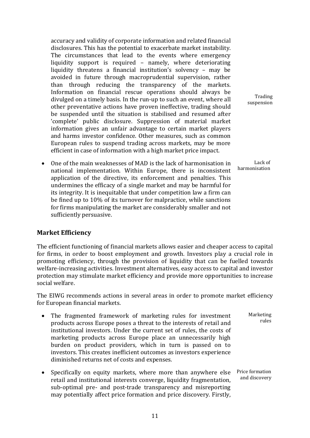accuracy and validity of corporate information and related financial disclosures. This has the potential to exacerbate market instability. The circumstances that lead to the events where emergency liquidity support is required – namely, where deteriorating liquidity threatens a financial institution's solvency – may be avoided in future through macroprudential supervision, rather than through reducing the transparency of the markets. Information on financial rescue operations should always be divulged on a timely basis. In the run‐up to such an event, where all other preventative actions have proven ineffective, trading should be suspended until the situation is stabilised and resumed after 'complete' public disclosure. Suppression of material market information gives an unfair advantage to certain market players and harms investor confidence. Other measures, such as common European rules to suspend trading across markets, may be more efficient in case of information with a high market price impact.

• One of the main weaknesses of MAD is the lack of harmonisation in national implementation. Within Europe, there is inconsistent application of the directive, its enforcement and penalties. This undermines the efficacy of a single market and may be harmful for its integrity. It is inequitable that under competition law a firm can be fined up to 10% of its turnover for malpractice, while sanctions for firms manipulating the market are considerably smaller and not sufficiently persuasive.

#### **Market Efficiency**

The efficient functioning of financial markets allows easier and cheaper access to capital for firms, in order to boost employment and growth. Investors play a crucial role in promoting efficiency, through the provision of liquidity that can be fuelled towards welfare‐increasing activities. Investment alternatives, easy access to capital and investor protection may stimulate market efficiency and provide more opportunities to increase social welfare.

The EIWG recommends actions in several areas in order to promote market efficiency for European financial markets.

- The fragmented framework of marketing rules for investment products across Europe poses a threat to the interests of retail and institutional investors. Under the current set of rules, the costs of marketing products across Europe place an unnecessarily high burden on product providers, which in turn is passed on to investors. This creates inefficient outcomes as investors experience diminished returns net of costs and expenses. Marketing rules
- Specifically on equity markets, where more than anywhere else retail and institutional interests converge, liquidity fragmentation, sub-optimal pre- and post-trade transparency and misreporting may potentially affect price formation and price discovery. Firstly, Price formation and discovery

Trading suspension

Lack of harmonisation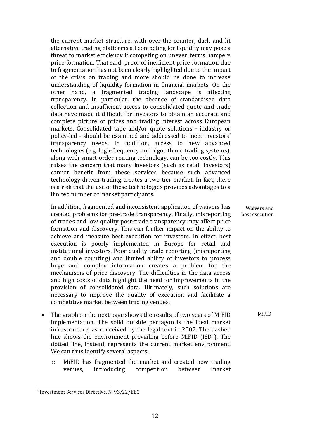the current market structure, with over‐the‐counter, dark and lit alternative trading platforms all competing for liquidity may pose a threat to market efficiency if competing on uneven terms hampers price formation. That said, proof of inefficient price formation due to fragmentation has not been clearly highlighted due to the impact of the crisis on trading and more should be done to increase understanding of liquidity formation in financial markets. On the other hand, a fragmented trading landscape is affecting transparency. In particular, the absence of standardised data collection and insufficient access to consolidated quote and trade data have made it difficult for investors to obtain an accurate and complete picture of prices and trading interest across European markets. Consolidated tape and/or quote solutions ‐ industry or policy‐led ‐ should be examined and addressed to meet investors' transparency needs. In addition, access to new advanced technologies (e.g. high‐frequency and algorithmic trading systems), along with smart order routing technology, can be too costly. This raises the concern that many investors (such as retail investors) cannot benefit from these services because such advanced technology-driven trading creates a two-tier market. In fact, there is a risk that the use of these technologies provides advantages to a limited number of market participants.

In addition, fragmented and inconsistent application of waivers has created problems for pre‐trade transparency. Finally, misreporting of trades and low quality post‐trade transparency may affect price formation and discovery. This can further impact on the ability to achieve and measure best execution for investors. In effect, best execution is poorly implemented in Europe for retail and institutional investors. Poor quality trade reporting (misreporting and double counting) and limited ability of investors to process huge and complex information creates a problem for the mechanisms of price discovery. The difficulties in the data access and high costs of data highlight the need for improvements in the provision of consolidated data. Ultimately, such solutions are necessary to improve the quality of execution and facilitate a competitive market between trading venues.

- The graph on the next page shows the results of two years of MiFID implementation. The solid outside pentagon is the ideal market infrastructure, as conceived by the legal text in 2007. The dashed line shows the environment prevailing before MiFID (ISD1). The dotted line, instead, represents the current market environment. We can thus identify several aspects:
	- o MiFID has fragmented the market and created new trading venues, introducing competition between market

Waivers and best execution

MiFID

<sup>1</sup> Investment Services Directive, N. 93/22/EEC.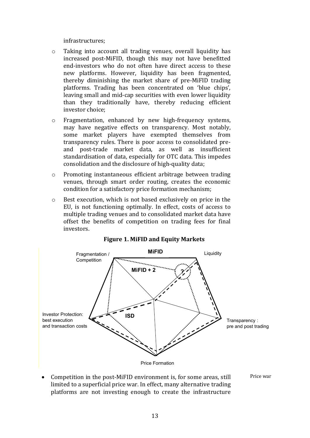infrastructures;

- o Taking into account all trading venues, overall liquidity has increased post-MiFID, though this may not have benefitted end-investors who do not often have direct access to these new platforms. However, liquidity has been fragmented, thereby diminishing the market share of pre‐MiFID trading platforms. Trading has been concentrated on 'blue chips', leaving small and mid‐cap securities with even lower liquidity than they traditionally have, thereby reducing efficient investor choice;
- o Fragmentation, enhanced by new high‐frequency systems, may have negative effects on transparency. Most notably, some market players have exempted themselves from transparency rules. There is poor access to consolidated pre‐ and post‐trade market data, as well as insufficient standardisation of data, especially for OTC data. This impedes consolidation and the disclosure of high-quality data;
- o Promoting instantaneous efficient arbitrage between trading venues, through smart order routing, creates the economic condition for a satisfactory price formation mechanism;
- o Best execution, which is not based exclusively on price in the EU, is not functioning optimally. In effect, costs of access to multiple trading venues and to consolidated market data have offset the benefits of competition on trading fees for final investors.



#### **Figure 1. MiFID and Equity Markets**

Competition in the post-MiFID environment is, for some areas, still limited to a superficial price war. In effect, many alternative trading platforms are not investing enough to create the infrastructure

Price war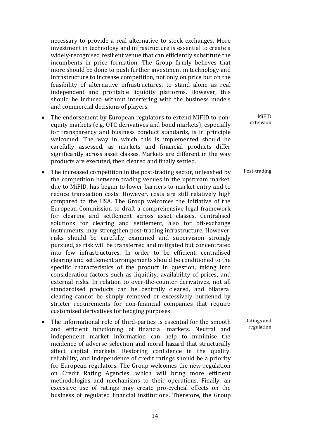necessary to provide a real alternative to stock exchanges. More investment in technology and infrastructure is essential to create a widely‐recognised resilient venue that can efficiently substitute the incumbents in price formation. The Group firmly believes that more should be done to push further investment in technology and infrastructure to increase competition, not only on price but on the feasibility of alternative infrastructures, to stand alone as real independent and profitable liquidity platforms. However, this should be induced without interfering with the business models and commercial decisions of players.

- The endorsement by European regulators to extend MiFID to nonequity markets (e.g. OTC derivatives and bond markets), especially for transparency and business conduct standards, is in principle welcomed. The way in which this is implemented should be carefully assessed, as markets and financial products differ significantly across asset classes. Markets are different in the way products are executed, then cleared and finally settled.
- The increased competition in the post-trading sector, unleashed by the competition between trading venues in the upstream market, due to MiFID, has begun to lower barriers to market entry and to reduce transaction costs. However, costs are still relatively high compared to the USA. The Group welcomes the initiative of the European Commission to draft a comprehensive legal framework for clearing and settlement across asset classes. Centralised solutions for clearing and settlement, also for off-exchange instruments, may strengthen post-trading infrastructure. However, risks should be carefully examined and supervision strongly pursued, as risk will be transferred and mitigated but concentrated into few infrastructures. In order to be efficient, centralised clearing and settlement arrangements should be conditioned to the specific characteristics of the product in question, taking into consideration factors such as liquidity, availability of prices, and external risks. In relation to over-the-counter derivatives, not all standardised products can be centrally cleared, and bilateral clearing cannot be simply removed or excessively burdened by stricter requirements for non-financial companies that require customised derivatives for hedging purposes.
- The informational role of third-parties is essential for the smooth and efficient functioning of financial markets. Neutral and independent market information can help to minimise the incidence of adverse selection and moral hazard that structurally affect capital markets. Restoring confidence in the quality, reliability, and independence of credit ratings should be a priority for European regulators. The Group welcomes the new regulation on Credit Rating Agencies, which will bring more efficient methodologies and mechanisms to their operations. Finally, an excessive use of ratings may create pro‐cyclical effects on the business of regulated financial institutions. Therefore, the Group

MiFID extension

Post‐trading

Ratings and regulation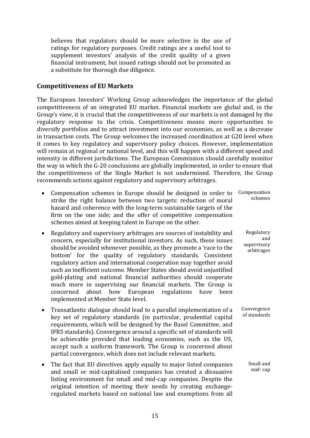believes that regulators should be more selective in the use of ratings for regulatory purposes. Credit ratings are a useful tool to supplement investors' analysis of the credit quality of a given financial instrument, but issued ratings should not be promoted as a substitute for thorough due diligence.

#### **Competitiveness of EU Markets**

The European Investors' Working Group acknowledges the importance of the global competitiveness of an integrated EU market. Financial markets are global and, in the Group's view, it is crucial that the competitiveness of our markets is not damaged by the regulatory response to the crisis. Competitiveness means more opportunities to diversify portfolios and to attract investment into our economies, as well as a decrease in transaction costs. The Group welcomes the increased coordination at G20 level when it comes to key regulatory and supervisory policy choices. However, implementation will remain at regional or national level, and this will happen with a different speed and intensity in different jurisdictions. The European Commission should carefully monitor the way in which the G‐20 conclusions are globally implemented, in order to ensure that the competitiveness of the Single Market is not undermined. Therefore, the Group recommends actions against regulatory and supervisory arbitrages.

• Compensation schemes in Europe should be designed in order to strike the right balance between two targets: reduction of moral hazard and coherence with the long-term sustainable targets of the firm on the one side; and the offer of competitive compensation schemes aimed at keeping talent in Europe on the other. Compensation schemes

> Regulatory and

supervisory arbitrages

> Small and mid‐ cap

- Regulatory and supervisory arbitrages are sources of instability and concern, especially for institutional investors. As such, these issues should be avoided whenever possible, as they promote a 'race to the bottom' for the quality of regulatory standards. Consistent regulatory action and international cooperation may together avoid such an inefficient outcome. Member States should avoid unjustified gold‐plating and national financial authorities should cooperate much more in supervising our financial markets. The Group is concerned about how European regulations have been implemented at Member State level.
- Transatlantic dialogue should lead to a parallel implementation of a key set of regulatory standards (in particular, prudential capital requirements, which will be designed by the Basel Committee, and IFRS standards). Convergence around a specific set of standards will be achievable provided that leading economies, such as the US, accept such a uniform framework. The Group is concerned about partial convergence, which does not include relevant markets. Convergence of standards
- The fact that EU directives apply equally to major listed companies and small or mid‐capitalised companies has created a dissuasive listing environment for small and mid‐cap companies. Despite the original intention of meeting their needs by creating exchange‐ regulated markets based on national law and exemptions from all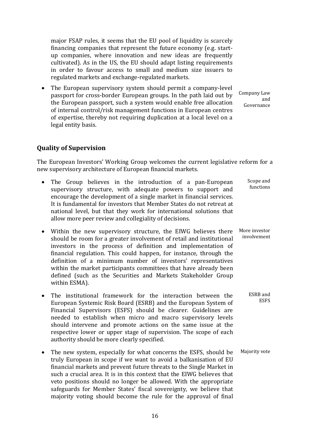major FSAP rules, it seems that the EU pool of liquidity is scarcely financing companies that represent the future economy (e.g. start‐ up companies, where innovation and new ideas are frequently cultivated). As in the US, the EU should adapt listing requirements in order to favour access to small and medium size issuers to regulated markets and exchange‐regulated markets.

• The European supervisory system should permit a company-level passport for cross‐border European groups. In the path laid out by the European passport, such a system would enable free allocation of internal control/risk management functions in European centres of expertise, thereby not requiring duplication at a local level on a legal entity basis.

Company Law and Governance

#### **Quality of Supervision**

within ESMA).

The European Investors' Working Group welcomes the current legislative reform for a new supervisory architecture of European financial markets.

| • The Group believes in the introduction of a pan-European<br>supervisory structure, with adequate powers to support and<br>encourage the development of a single market in financial services.<br>It is fundamental for investors that Member States do not retreat at<br>national level, but that they work for international solutions that<br>allow more peer review and collegiality of decisions.                                                                            | Scope and<br>functions       |
|------------------------------------------------------------------------------------------------------------------------------------------------------------------------------------------------------------------------------------------------------------------------------------------------------------------------------------------------------------------------------------------------------------------------------------------------------------------------------------|------------------------------|
| • Within the new supervisory structure, the EIWG believes there<br>should be room for a greater involvement of retail and institutional<br>investors in the process of definition and implementation of<br>financial regulation. This could happen, for instance, through the<br>definition of a minimum number of investors' representatives<br>within the market participants committees that have already been<br>defined (such as the Securities and Markets Stakeholder Group | More investor<br>involvement |

- The institutional framework for the interaction between the European Systemic Risk Board (ESRB) and the European System of Financial Supervisors (ESFS) should be clearer. Guidelines are needed to establish when micro and macro supervisory levels should intervene and promote actions on the same issue at the respective lower or upper stage of supervision. The scope of each authority should be more clearly specified. ESRB and **ESFS**
- The new system, especially for what concerns the ESFS, should be truly European in scope if we want to avoid a balkanisation of EU financial markets and prevent future threats to the Single Market in such a crucial area. It is in this context that the EIWG believes that veto positions should no longer be allowed. With the appropriate safeguards for Member States' fiscal sovereignty, we believe that majority voting should become the rule for the approval of final Majority vote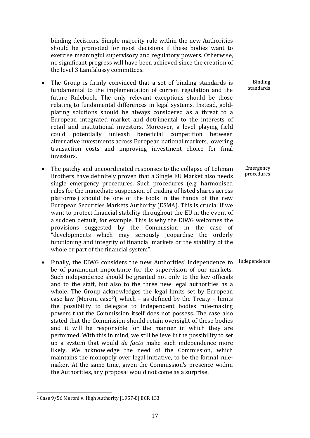binding decisions. Simple majority rule within the new Authorities should be promoted for most decisions if these bodies want to exercise meaningful supervisory and regulatory powers. Otherwise, no significant progress will have been achieved since the creation of the level 3 Lamfalussy committees.

- The Group is firmly convinced that a set of binding standards is fundamental to the implementation of current regulation and the future Rulebook. The only relevant exceptions should be those relating to fundamental differences in legal systems. Instead, gold‐ plating solutions should be always considered as a threat to a European integrated market and detrimental to the interests of retail and institutional investors. Moreover, a level playing field could potentially unleash beneficial competition between alternative investments across European national markets, lowering transaction costs and improving investment choice for final investors.
- The patchy and uncoordinated responses to the collapse of Lehman Brothers have definitely proven that a Single EU Market also needs single emergency procedures. Such procedures (e.g. harmonised rules for the immediate suspension of trading of listed shares across platforms) should be one of the tools in the hands of the new European Securities Markets Authority (ESMA). This is crucial if we want to protect financial stability throughout the EU in the event of a sudden default, for example. This is why the EIWG welcomes the provisions suggested by the Commission in the case of "developments which may seriously jeopardise the orderly functioning and integrity of financial markets or the stability of the whole or part of the financial system".
- Finally, the EIWG considers the new Authorities' independence to be of paramount importance for the supervision of our markets. Such independence should be granted not only to the key officials and to the staff, but also to the three new legal authorities as a whole. The Group acknowledges the legal limits set by European case law (Meroni  $case^2$ ), which  $-$  as defined by the Treaty  $-$  limits the possibility to delegate to independent bodies rule‐making powers that the Commission itself does not possess. The case also stated that the Commission should retain oversight of these bodies and it will be responsible for the manner in which they are performed. With this in mind, we still believe in the possibility to set up a system that would *de facto* make such independence more likely. We acknowledge the need of the Commission, which maintains the monopoly over legal initiative, to be the formal rule‐ maker. At the same time, given the Commission's presence within the Authorities, any proposal would not come as a surprise.

Binding standards

Emergency procedures

Independence

 2 Case 9/56 Meroni v. High Authority [1957‐8] ECR 133